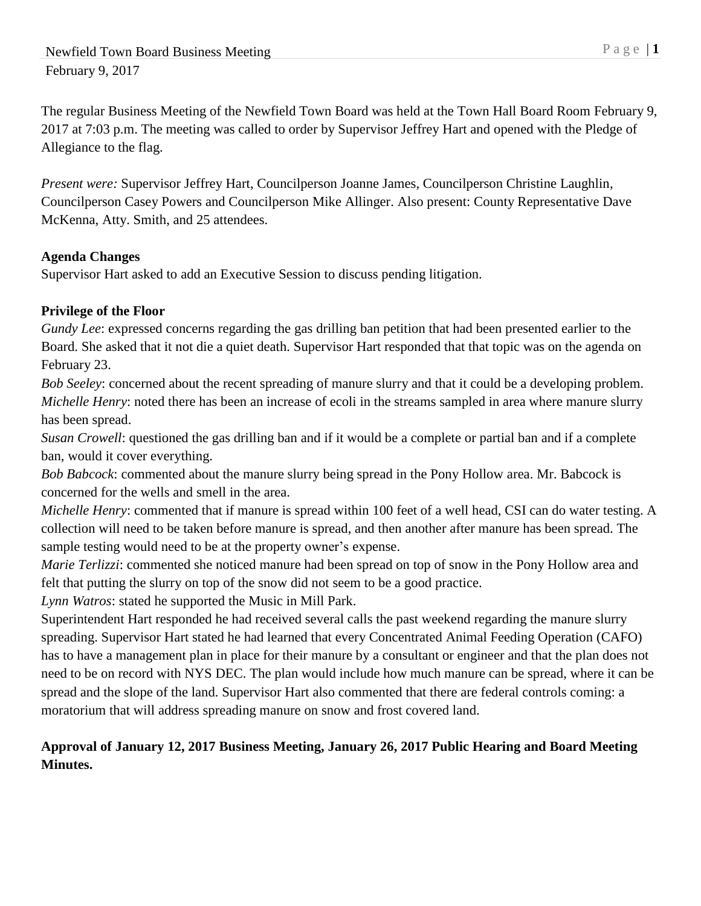The regular Business Meeting of the Newfield Town Board was held at the Town Hall Board Room February 9, 2017 at 7:03 p.m. The meeting was called to order by Supervisor Jeffrey Hart and opened with the Pledge of Allegiance to the flag.

*Present were:* Supervisor Jeffrey Hart, Councilperson Joanne James, Councilperson Christine Laughlin, Councilperson Casey Powers and Councilperson Mike Allinger. Also present: County Representative Dave McKenna, Atty. Smith, and 25 attendees.

### **Agenda Changes**

Supervisor Hart asked to add an Executive Session to discuss pending litigation.

# **Privilege of the Floor**

*Gundy Lee*: expressed concerns regarding the gas drilling ban petition that had been presented earlier to the Board. She asked that it not die a quiet death. Supervisor Hart responded that that topic was on the agenda on February 23.

*Bob Seeley*: concerned about the recent spreading of manure slurry and that it could be a developing problem. *Michelle Henry*: noted there has been an increase of ecoli in the streams sampled in area where manure slurry has been spread.

*Susan Crowell*: questioned the gas drilling ban and if it would be a complete or partial ban and if a complete ban, would it cover everything.

*Bob Babcock*: commented about the manure slurry being spread in the Pony Hollow area. Mr. Babcock is concerned for the wells and smell in the area.

*Michelle Henry:* commented that if manure is spread within 100 feet of a well head, CSI can do water testing. A collection will need to be taken before manure is spread, and then another after manure has been spread. The sample testing would need to be at the property owner's expense.

*Marie Terlizzi*: commented she noticed manure had been spread on top of snow in the Pony Hollow area and felt that putting the slurry on top of the snow did not seem to be a good practice.

*Lynn Watros*: stated he supported the Music in Mill Park.

Superintendent Hart responded he had received several calls the past weekend regarding the manure slurry spreading. Supervisor Hart stated he had learned that every Concentrated Animal Feeding Operation (CAFO) has to have a management plan in place for their manure by a consultant or engineer and that the plan does not need to be on record with NYS DEC. The plan would include how much manure can be spread, where it can be spread and the slope of the land. Supervisor Hart also commented that there are federal controls coming: a moratorium that will address spreading manure on snow and frost covered land.

# **Approval of January 12, 2017 Business Meeting, January 26, 2017 Public Hearing and Board Meeting Minutes.**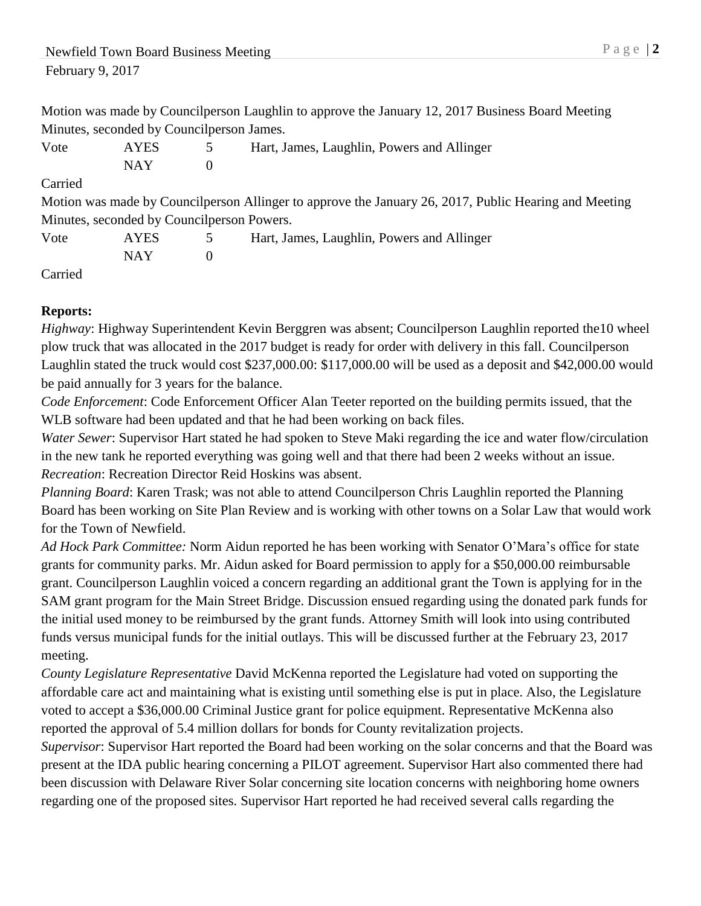Motion was made by Councilperson Laughlin to approve the January 12, 2017 Business Board Meeting Minutes, seconded by Councilperson James.

| Vote | <b>AYES</b> | Hart, James, Laughlin, Powers and Allinger |
|------|-------------|--------------------------------------------|
|      | NAY         |                                            |

### Carried

Motion was made by Councilperson Allinger to approve the January 26, 2017, Public Hearing and Meeting Minutes, seconded by Councilperson Powers.

| Vote | <b>AYES</b> | Hart, James, Laughlin, Powers and Allinger |
|------|-------------|--------------------------------------------|
|      | <b>NAY</b>  |                                            |

Carried

# **Reports:**

*Highway*: Highway Superintendent Kevin Berggren was absent; Councilperson Laughlin reported the10 wheel plow truck that was allocated in the 2017 budget is ready for order with delivery in this fall. Councilperson Laughlin stated the truck would cost \$237,000.00: \$117,000.00 will be used as a deposit and \$42,000.00 would be paid annually for 3 years for the balance.

*Code Enforcement*: Code Enforcement Officer Alan Teeter reported on the building permits issued, that the WLB software had been updated and that he had been working on back files.

*Water Sewer*: Supervisor Hart stated he had spoken to Steve Maki regarding the ice and water flow/circulation in the new tank he reported everything was going well and that there had been 2 weeks without an issue. *Recreation*: Recreation Director Reid Hoskins was absent.

*Planning Board*: Karen Trask; was not able to attend Councilperson Chris Laughlin reported the Planning Board has been working on Site Plan Review and is working with other towns on a Solar Law that would work for the Town of Newfield.

*Ad Hock Park Committee:* Norm Aidun reported he has been working with Senator O'Mara's office for state grants for community parks. Mr. Aidun asked for Board permission to apply for a \$50,000.00 reimbursable grant. Councilperson Laughlin voiced a concern regarding an additional grant the Town is applying for in the SAM grant program for the Main Street Bridge. Discussion ensued regarding using the donated park funds for the initial used money to be reimbursed by the grant funds. Attorney Smith will look into using contributed funds versus municipal funds for the initial outlays. This will be discussed further at the February 23, 2017 meeting.

*County Legislature Representative* David McKenna reported the Legislature had voted on supporting the affordable care act and maintaining what is existing until something else is put in place. Also, the Legislature voted to accept a \$36,000.00 Criminal Justice grant for police equipment. Representative McKenna also reported the approval of 5.4 million dollars for bonds for County revitalization projects.

*Supervisor*: Supervisor Hart reported the Board had been working on the solar concerns and that the Board was present at the IDA public hearing concerning a PILOT agreement. Supervisor Hart also commented there had been discussion with Delaware River Solar concerning site location concerns with neighboring home owners regarding one of the proposed sites. Supervisor Hart reported he had received several calls regarding the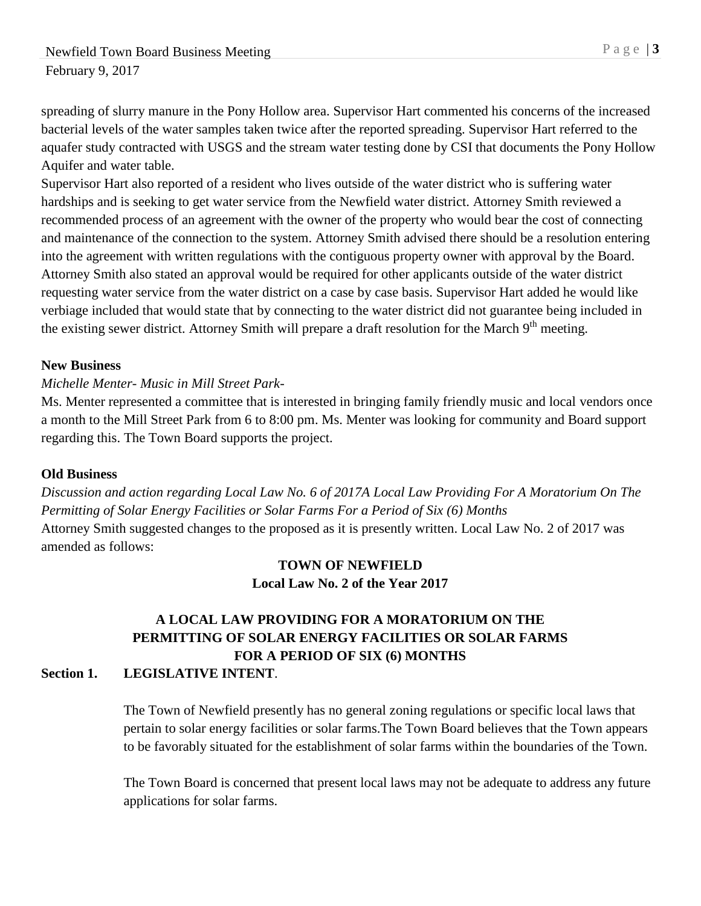spreading of slurry manure in the Pony Hollow area. Supervisor Hart commented his concerns of the increased bacterial levels of the water samples taken twice after the reported spreading. Supervisor Hart referred to the aquafer study contracted with USGS and the stream water testing done by CSI that documents the Pony Hollow Aquifer and water table.

Supervisor Hart also reported of a resident who lives outside of the water district who is suffering water hardships and is seeking to get water service from the Newfield water district. Attorney Smith reviewed a recommended process of an agreement with the owner of the property who would bear the cost of connecting and maintenance of the connection to the system. Attorney Smith advised there should be a resolution entering into the agreement with written regulations with the contiguous property owner with approval by the Board. Attorney Smith also stated an approval would be required for other applicants outside of the water district requesting water service from the water district on a case by case basis. Supervisor Hart added he would like verbiage included that would state that by connecting to the water district did not guarantee being included in the existing sewer district. Attorney Smith will prepare a draft resolution for the March 9<sup>th</sup> meeting.

#### **New Business**

#### *Michelle Menter- Music in Mill Street Park-*

Ms. Menter represented a committee that is interested in bringing family friendly music and local vendors once a month to the Mill Street Park from 6 to 8:00 pm. Ms. Menter was looking for community and Board support regarding this. The Town Board supports the project.

#### **Old Business**

*Discussion and action regarding Local Law No. 6 of 2017A Local Law Providing For A Moratorium On The Permitting of Solar Energy Facilities or Solar Farms For a Period of Six (6) Months* Attorney Smith suggested changes to the proposed as it is presently written. Local Law No. 2 of 2017 was amended as follows:

### **TOWN OF NEWFIELD Local Law No. 2 of the Year 2017**

# **A LOCAL LAW PROVIDING FOR A MORATORIUM ON THE PERMITTING OF SOLAR ENERGY FACILITIES OR SOLAR FARMS FOR A PERIOD OF SIX (6) MONTHS**

### **Section 1. LEGISLATIVE INTENT**.

The Town of Newfield presently has no general zoning regulations or specific local laws that pertain to solar energy facilities or solar farms.The Town Board believes that the Town appears to be favorably situated for the establishment of solar farms within the boundaries of the Town.

The Town Board is concerned that present local laws may not be adequate to address any future applications for solar farms.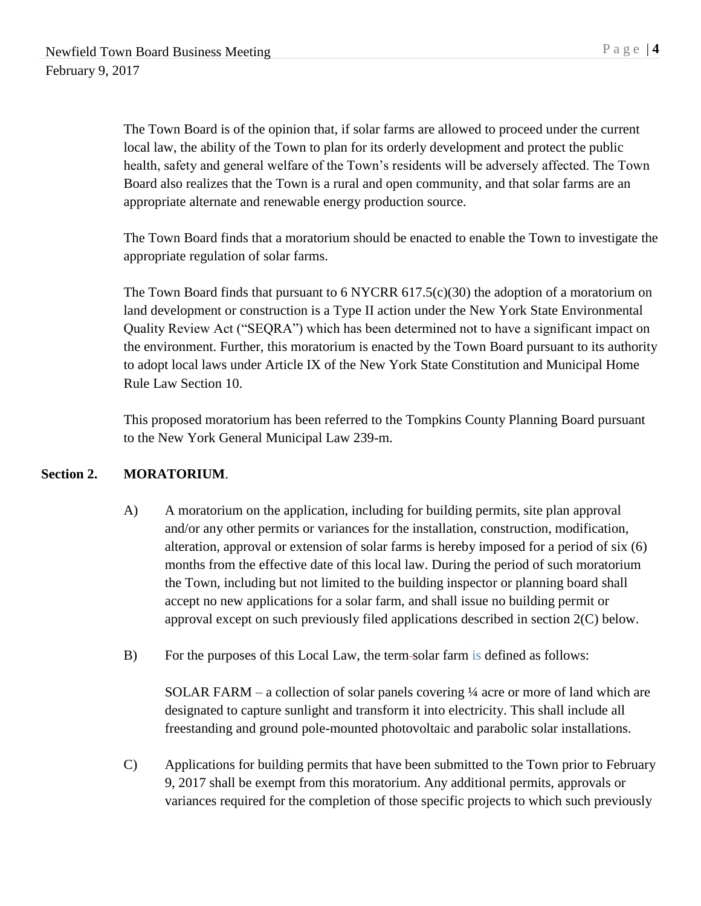The Town Board is of the opinion that, if solar farms are allowed to proceed under the current local law, the ability of the Town to plan for its orderly development and protect the public health, safety and general welfare of the Town's residents will be adversely affected. The Town Board also realizes that the Town is a rural and open community, and that solar farms are an appropriate alternate and renewable energy production source.

The Town Board finds that a moratorium should be enacted to enable the Town to investigate the appropriate regulation of solar farms.

The Town Board finds that pursuant to 6 NYCRR 617.5(c)(30) the adoption of a moratorium on land development or construction is a Type II action under the New York State Environmental Quality Review Act ("SEQRA") which has been determined not to have a significant impact on the environment. Further, this moratorium is enacted by the Town Board pursuant to its authority to adopt local laws under Article IX of the New York State Constitution and Municipal Home Rule Law Section 10.

This proposed moratorium has been referred to the Tompkins County Planning Board pursuant to the New York General Municipal Law 239-m.

### **Section 2. MORATORIUM**.

- A) A moratorium on the application, including for building permits, site plan approval and/or any other permits or variances for the installation, construction, modification, alteration, approval or extension of solar farms is hereby imposed for a period of six (6) months from the effective date of this local law. During the period of such moratorium the Town, including but not limited to the building inspector or planning board shall accept no new applications for a solar farm, and shall issue no building permit or approval except on such previously filed applications described in section 2(C) below.
- B) For the purposes of this Local Law, the term solar farm is defined as follows:

SOLAR FARM – a collection of solar panels covering ¼ acre or more of land which are designated to capture sunlight and transform it into electricity. This shall include all freestanding and ground pole-mounted photovoltaic and parabolic solar installations.

C) Applications for building permits that have been submitted to the Town prior to February 9, 2017 shall be exempt from this moratorium. Any additional permits, approvals or variances required for the completion of those specific projects to which such previously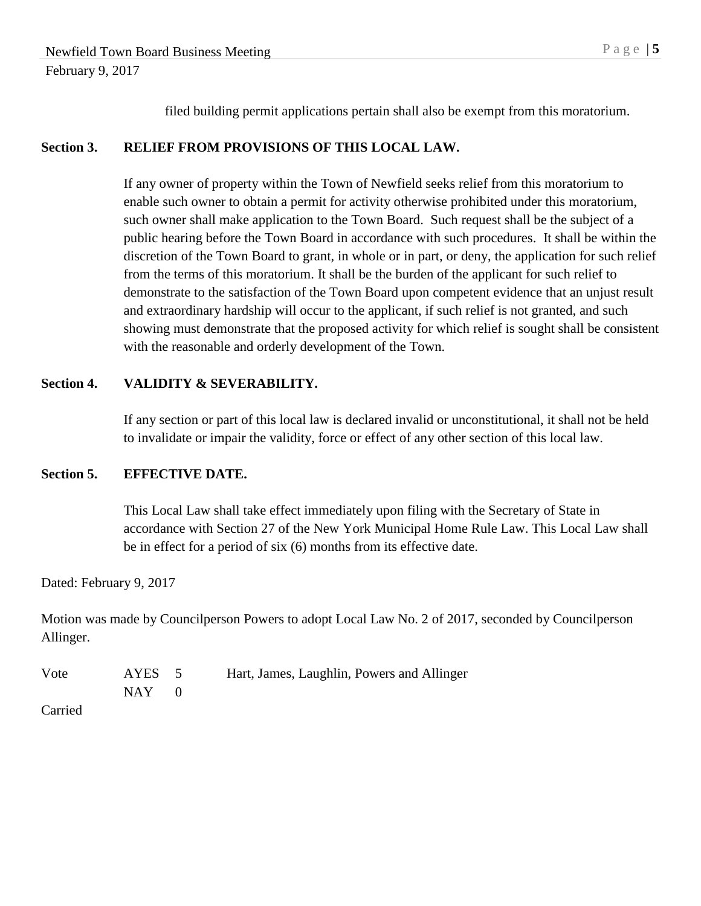filed building permit applications pertain shall also be exempt from this moratorium.

### **Section 3. RELIEF FROM PROVISIONS OF THIS LOCAL LAW.**

If any owner of property within the Town of Newfield seeks relief from this moratorium to enable such owner to obtain a permit for activity otherwise prohibited under this moratorium, such owner shall make application to the Town Board. Such request shall be the subject of a public hearing before the Town Board in accordance with such procedures. It shall be within the discretion of the Town Board to grant, in whole or in part, or deny, the application for such relief from the terms of this moratorium. It shall be the burden of the applicant for such relief to demonstrate to the satisfaction of the Town Board upon competent evidence that an unjust result and extraordinary hardship will occur to the applicant, if such relief is not granted, and such showing must demonstrate that the proposed activity for which relief is sought shall be consistent with the reasonable and orderly development of the Town.

#### **Section 4. VALIDITY & SEVERABILITY.**

If any section or part of this local law is declared invalid or unconstitutional, it shall not be held to invalidate or impair the validity, force or effect of any other section of this local law.

### **Section 5. EFFECTIVE DATE.**

This Local Law shall take effect immediately upon filing with the Secretary of State in accordance with Section 27 of the New York Municipal Home Rule Law. This Local Law shall be in effect for a period of six (6) months from its effective date.

Dated: February 9, 2017

Motion was made by Councilperson Powers to adopt Local Law No. 2 of 2017, seconded by Councilperson Allinger.

| Vote | AYES 5  | Hart, James, Laughlin, Powers and Allinger |
|------|---------|--------------------------------------------|
|      | $NAY$ 0 |                                            |
| ___  |         |                                            |

Carried